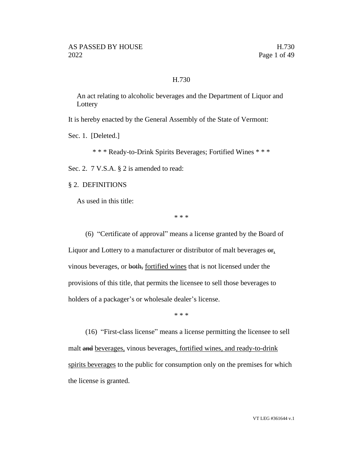#### H.730

An act relating to alcoholic beverages and the Department of Liquor and **Lottery** 

It is hereby enacted by the General Assembly of the State of Vermont:

Sec. 1. [Deleted.]

\* \* \* Ready-to-Drink Spirits Beverages; Fortified Wines \* \* \*

Sec. 2. 7 V.S.A. § 2 is amended to read:

§ 2. DEFINITIONS

As used in this title:

\* \* \*

(6) "Certificate of approval" means a license granted by the Board of Liquor and Lottery to a manufacturer or distributor of malt beverages  $\Theta$ <sub>1</sub>. vinous beverages, or both, fortified wines that is not licensed under the provisions of this title, that permits the licensee to sell those beverages to holders of a packager's or wholesale dealer's license.

\* \* \*

(16) "First-class license" means a license permitting the licensee to sell malt and beverages, vinous beverages, fortified wines, and ready-to-drink spirits beverages to the public for consumption only on the premises for which the license is granted.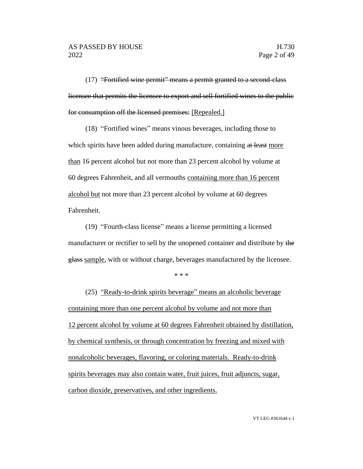(17) "Fortified wine permit" means a permit granted to a second-class licensee that permits the licensee to export and sell fortified wines to the public for consumption off the licensed premises: [Repealed.]

(18) "Fortified wines" means vinous beverages, including those to which spirits have been added during manufacture, containing at least more than 16 percent alcohol but not more than 23 percent alcohol by volume at 60 degrees Fahrenheit, and all vermouths containing more than 16 percent alcohol but not more than 23 percent alcohol by volume at 60 degrees Fahrenheit.

(19) "Fourth-class license" means a license permitting a licensed manufacturer or rectifier to sell by the unopened container and distribute by the glass sample, with or without charge, beverages manufactured by the licensee.

\* \* \*

(25) "Ready-to-drink spirits beverage" means an alcoholic beverage containing more than one percent alcohol by volume and not more than 12 percent alcohol by volume at 60 degrees Fahrenheit obtained by distillation, by chemical synthesis, or through concentration by freezing and mixed with nonalcoholic beverages, flavoring, or coloring materials. Ready-to-drink spirits beverages may also contain water, fruit juices, fruit adjuncts, sugar, carbon dioxide, preservatives, and other ingredients.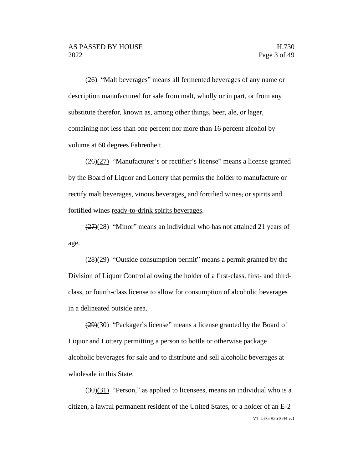(26) "Malt beverages" means all fermented beverages of any name or description manufactured for sale from malt, wholly or in part, or from any substitute therefor, known as, among other things, beer, ale, or lager, containing not less than one percent nor more than 16 percent alcohol by volume at 60 degrees Fahrenheit.

(26)(27) "Manufacturer's or rectifier's license" means a license granted by the Board of Liquor and Lottery that permits the holder to manufacture or rectify malt beverages, vinous beverages, and fortified wines, or spirits and fortified wines ready-to-drink spirits beverages.

 $\left(\frac{27}{28}\right)$  "Minor" means an individual who has not attained 21 years of age.

 $(28)(29)$  "Outside consumption permit" means a permit granted by the Division of Liquor Control allowing the holder of a first-class, first- and thirdclass, or fourth-class license to allow for consumption of alcoholic beverages in a delineated outside area.

(29)(30) "Packager's license" means a license granted by the Board of Liquor and Lottery permitting a person to bottle or otherwise package alcoholic beverages for sale and to distribute and sell alcoholic beverages at wholesale in this State.

VT LEG #361644 v.1  $(30)(31)$  "Person," as applied to licensees, means an individual who is a citizen, a lawful permanent resident of the United States, or a holder of an E-2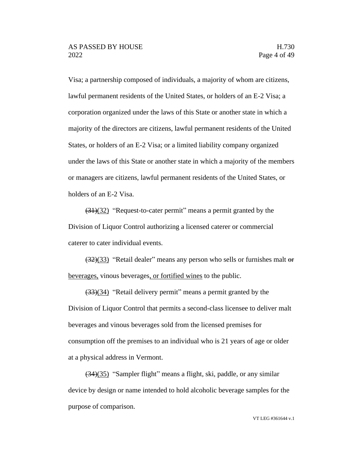Visa; a partnership composed of individuals, a majority of whom are citizens, lawful permanent residents of the United States, or holders of an E-2 Visa; a corporation organized under the laws of this State or another state in which a majority of the directors are citizens, lawful permanent residents of the United States, or holders of an E-2 Visa; or a limited liability company organized under the laws of this State or another state in which a majority of the members or managers are citizens, lawful permanent residents of the United States, or holders of an E-2 Visa.

(31)(32) "Request-to-cater permit" means a permit granted by the Division of Liquor Control authorizing a licensed caterer or commercial caterer to cater individual events.

 $\left(\frac{32}{33}\right)$  "Retail dealer" means any person who sells or furnishes malt or beverages, vinous beverages, or fortified wines to the public.

(33)(34) "Retail delivery permit" means a permit granted by the Division of Liquor Control that permits a second-class licensee to deliver malt beverages and vinous beverages sold from the licensed premises for consumption off the premises to an individual who is 21 years of age or older at a physical address in Vermont.

(34)(35) "Sampler flight" means a flight, ski, paddle, or any similar device by design or name intended to hold alcoholic beverage samples for the purpose of comparison.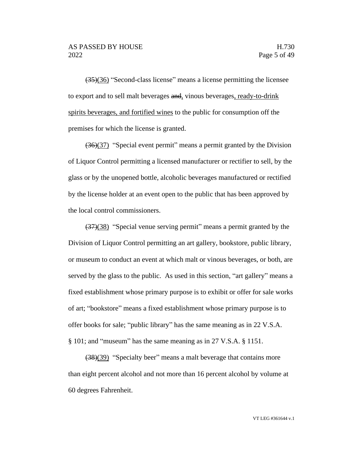(35)(36) "Second-class license" means a license permitting the licensee to export and to sell malt beverages and, vinous beverages, ready-to-drink spirits beverages, and fortified wines to the public for consumption off the premises for which the license is granted.

(36)(37) "Special event permit" means a permit granted by the Division of Liquor Control permitting a licensed manufacturer or rectifier to sell, by the glass or by the unopened bottle, alcoholic beverages manufactured or rectified by the license holder at an event open to the public that has been approved by the local control commissioners.

(37)(38) "Special venue serving permit" means a permit granted by the Division of Liquor Control permitting an art gallery, bookstore, public library, or museum to conduct an event at which malt or vinous beverages, or both, are served by the glass to the public. As used in this section, "art gallery" means a fixed establishment whose primary purpose is to exhibit or offer for sale works of art; "bookstore" means a fixed establishment whose primary purpose is to offer books for sale; "public library" has the same meaning as in 22 V.S.A. § 101; and "museum" has the same meaning as in 27 V.S.A. § 1151.

(38)(39) "Specialty beer" means a malt beverage that contains more than eight percent alcohol and not more than 16 percent alcohol by volume at 60 degrees Fahrenheit.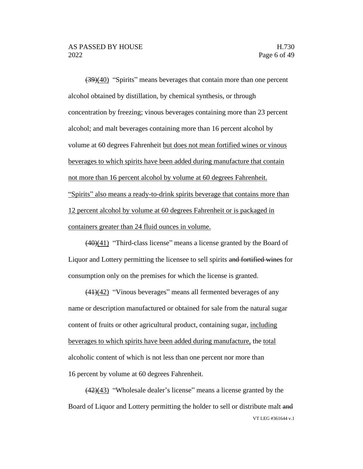(39)(40) "Spirits" means beverages that contain more than one percent alcohol obtained by distillation, by chemical synthesis, or through concentration by freezing; vinous beverages containing more than 23 percent alcohol; and malt beverages containing more than 16 percent alcohol by volume at 60 degrees Fahrenheit but does not mean fortified wines or vinous beverages to which spirits have been added during manufacture that contain not more than 16 percent alcohol by volume at 60 degrees Fahrenheit. "Spirits" also means a ready-to-drink spirits beverage that contains more than 12 percent alcohol by volume at 60 degrees Fahrenheit or is packaged in containers greater than 24 fluid ounces in volume.

(40)(41) "Third-class license" means a license granted by the Board of Liquor and Lottery permitting the licensee to sell spirits and fortified wines for consumption only on the premises for which the license is granted.

(41)(42) "Vinous beverages" means all fermented beverages of any name or description manufactured or obtained for sale from the natural sugar content of fruits or other agricultural product, containing sugar, including beverages to which spirits have been added during manufacture, the total alcoholic content of which is not less than one percent nor more than 16 percent by volume at 60 degrees Fahrenheit.

VT LEG #361644 v.1  $\left(\frac{42}{43}\right)$  "Wholesale dealer's license" means a license granted by the Board of Liquor and Lottery permitting the holder to sell or distribute malt and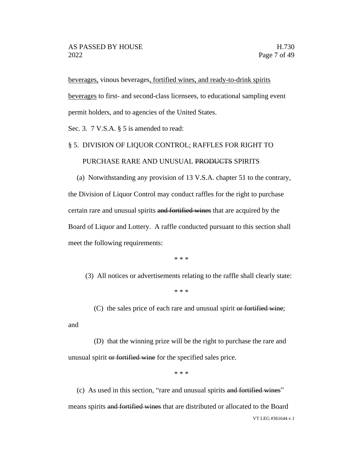beverages, vinous beverages, fortified wines, and ready-to-drink spirits beverages to first- and second-class licensees, to educational sampling event permit holders, and to agencies of the United States.

Sec. 3. 7 V.S.A. § 5 is amended to read:

# § 5. DIVISION OF LIQUOR CONTROL; RAFFLES FOR RIGHT TO

#### PURCHASE RARE AND UNUSUAL PRODUCTS SPIRITS

(a) Notwithstanding any provision of 13 V.S.A. chapter 51 to the contrary, the Division of Liquor Control may conduct raffles for the right to purchase certain rare and unusual spirits and fortified wines that are acquired by the Board of Liquor and Lottery. A raffle conducted pursuant to this section shall meet the following requirements:

\* \* \*

(3) All notices or advertisements relating to the raffle shall clearly state:

\* \* \*

(C) the sales price of each rare and unusual spirit or fortified wine;

and

(D) that the winning prize will be the right to purchase the rare and unusual spirit or fortified wine for the specified sales price.

\* \* \*

VT LEG #361644 v.1 (c) As used in this section, "rare and unusual spirits and fortified wines" means spirits and fortified wines that are distributed or allocated to the Board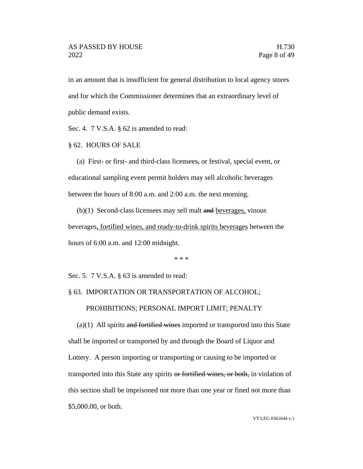in an amount that is insufficient for general distribution to local agency stores and for which the Commissioner determines that an extraordinary level of public demand exists.

Sec. 4. 7 V.S.A. § 62 is amended to read:

§ 62. HOURS OF SALE

(a) First- or first- and third-class licensees, or festival, special event, or educational sampling event permit holders may sell alcoholic beverages between the hours of 8:00 a.m. and 2:00 a.m. the next morning.

 $(b)(1)$  Second-class licensees may sell malt and beverages, vinous beverages, fortified wines, and ready-to-drink spirits beverages between the hours of 6:00 a.m. and 12:00 midnight.

\* \* \*

Sec. 5. 7 V.S.A. § 63 is amended to read:

#### § 63. IMPORTATION OR TRANSPORTATION OF ALCOHOL;

#### PROHIBITIONS; PERSONAL IMPORT LIMIT; PENALTY

 $(a)(1)$  All spirits and fortified wines imported or transported into this State shall be imported or transported by and through the Board of Liquor and Lottery. A person importing or transporting or causing to be imported or transported into this State any spirits or fortified wines, or both, in violation of this section shall be imprisoned not more than one year or fined not more than \$5,000.00, or both.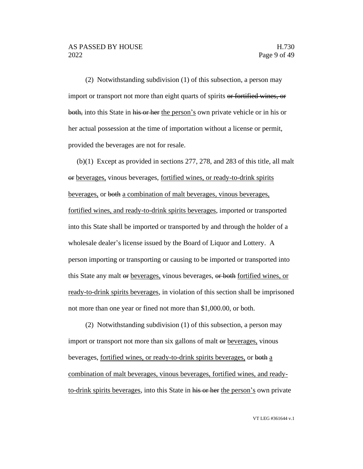(2) Notwithstanding subdivision (1) of this subsection, a person may import or transport not more than eight quarts of spirits or fortified wines, or both, into this State in his or her the person's own private vehicle or in his or her actual possession at the time of importation without a license or permit, provided the beverages are not for resale.

(b)(1) Except as provided in sections 277, 278, and 283 of this title, all malt or beverages, vinous beverages, fortified wines, or ready-to-drink spirits beverages, or both a combination of malt beverages, vinous beverages, fortified wines, and ready-to-drink spirits beverages, imported or transported into this State shall be imported or transported by and through the holder of a wholesale dealer's license issued by the Board of Liquor and Lottery. A person importing or transporting or causing to be imported or transported into this State any malt or beverages, vinous beverages, or both fortified wines, or ready-to-drink spirits beverages, in violation of this section shall be imprisoned not more than one year or fined not more than \$1,000.00, or both.

(2) Notwithstanding subdivision (1) of this subsection, a person may import or transport not more than six gallons of malt or beverages, vinous beverages, fortified wines, or ready-to-drink spirits beverages, or both a combination of malt beverages, vinous beverages, fortified wines, and readyto-drink spirits beverages, into this State in his or her the person's own private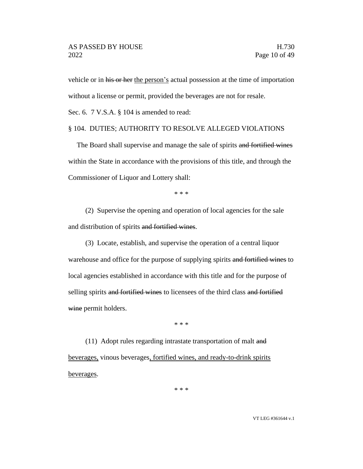vehicle or in his or her the person's actual possession at the time of importation without a license or permit, provided the beverages are not for resale.

Sec. 6. 7 V.S.A. § 104 is amended to read:

#### § 104. DUTIES; AUTHORITY TO RESOLVE ALLEGED VIOLATIONS

The Board shall supervise and manage the sale of spirits and fortified wines within the State in accordance with the provisions of this title, and through the Commissioner of Liquor and Lottery shall:

\* \* \*

(2) Supervise the opening and operation of local agencies for the sale and distribution of spirits and fortified wines.

(3) Locate, establish, and supervise the operation of a central liquor warehouse and office for the purpose of supplying spirits and fortified wines to local agencies established in accordance with this title and for the purpose of selling spirits and fortified wines to licensees of the third class and fortified wine permit holders.

\* \* \*

(11) Adopt rules regarding intrastate transportation of malt and beverages, vinous beverages, fortified wines, and ready-to-drink spirits beverages.

\* \* \*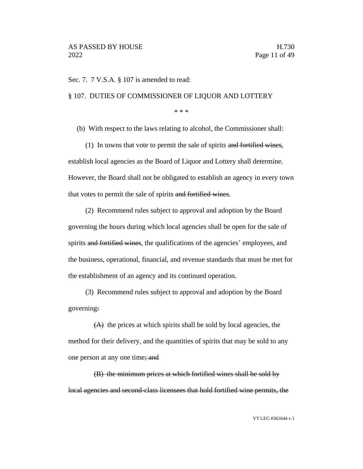Sec. 7. 7 V.S.A. § 107 is amended to read:

#### § 107. DUTIES OF COMMISSIONER OF LIQUOR AND LOTTERY

\* \* \*

(b) With respect to the laws relating to alcohol, the Commissioner shall:

(1) In towns that vote to permit the sale of spirits and fortified wines, establish local agencies as the Board of Liquor and Lottery shall determine. However, the Board shall not be obligated to establish an agency in every town that votes to permit the sale of spirits and fortified wines.

(2) Recommend rules subject to approval and adoption by the Board governing the hours during which local agencies shall be open for the sale of spirits and fortified wines, the qualifications of the agencies' employees, and the business, operational, financial, and revenue standards that must be met for the establishment of an agency and its continued operation.

(3) Recommend rules subject to approval and adoption by the Board governing:

(A) the prices at which spirits shall be sold by local agencies, the method for their delivery, and the quantities of spirits that may be sold to any one person at any one time; and

(B) the minimum prices at which fortified wines shall be sold by local agencies and second-class licensees that hold fortified wine permits, the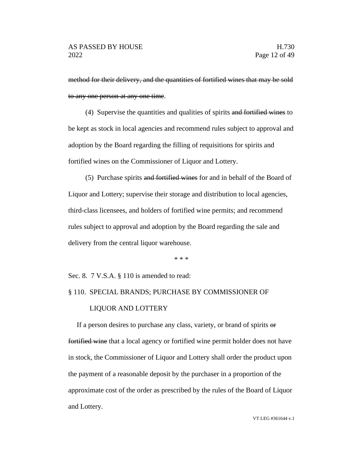method for their delivery, and the quantities of fortified wines that may be sold to any one person at any one time.

(4) Supervise the quantities and qualities of spirits and fortified wines to be kept as stock in local agencies and recommend rules subject to approval and adoption by the Board regarding the filling of requisitions for spirits and fortified wines on the Commissioner of Liquor and Lottery.

(5) Purchase spirits and fortified wines for and in behalf of the Board of Liquor and Lottery; supervise their storage and distribution to local agencies, third-class licensees, and holders of fortified wine permits; and recommend rules subject to approval and adoption by the Board regarding the sale and delivery from the central liquor warehouse.

\* \* \*

Sec. 8. 7 V.S.A. § 110 is amended to read:

# § 110. SPECIAL BRANDS; PURCHASE BY COMMISSIONER OF

#### LIQUOR AND LOTTERY

If a person desires to purchase any class, variety, or brand of spirits or fortified wine that a local agency or fortified wine permit holder does not have in stock, the Commissioner of Liquor and Lottery shall order the product upon the payment of a reasonable deposit by the purchaser in a proportion of the approximate cost of the order as prescribed by the rules of the Board of Liquor and Lottery.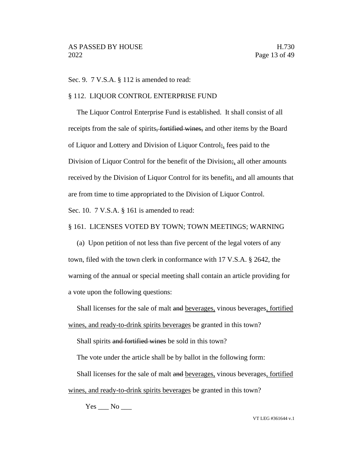Sec. 9. 7 V.S.A. § 112 is amended to read:

#### § 112. LIQUOR CONTROL ENTERPRISE FUND

The Liquor Control Enterprise Fund is established. It shall consist of all receipts from the sale of spirits, fortified wines, and other items by the Board of Liquor and Lottery and Division of Liquor Control;, fees paid to the Division of Liquor Control for the benefit of the Division;, all other amounts received by the Division of Liquor Control for its benefit; and all amounts that are from time to time appropriated to the Division of Liquor Control. Sec. 10. 7 V.S.A. § 161 is amended to read:

# § 161. LICENSES VOTED BY TOWN; TOWN MEETINGS; WARNING

(a) Upon petition of not less than five percent of the legal voters of any town, filed with the town clerk in conformance with 17 V.S.A. § 2642, the warning of the annual or special meeting shall contain an article providing for a vote upon the following questions:

Shall licenses for the sale of malt and beverages, vinous beverages, fortified wines, and ready-to-drink spirits beverages be granted in this town?

Shall spirits and fortified wines be sold in this town?

The vote under the article shall be by ballot in the following form:

Shall licenses for the sale of malt and beverages, vinous beverages, fortified wines, and ready-to-drink spirits beverages be granted in this town?

 $Yes \_\_ No \_\_$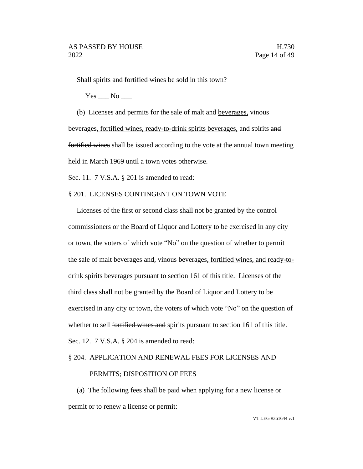Shall spirits and fortified wines be sold in this town?

 $Yes$   $No$   $\_\_$ 

(b) Licenses and permits for the sale of malt and beverages, vinous beverages, fortified wines, ready-to-drink spirits beverages, and spirits and fortified wines shall be issued according to the vote at the annual town meeting held in March 1969 until a town votes otherwise.

Sec. 11. 7 V.S.A. § 201 is amended to read:

#### § 201. LICENSES CONTINGENT ON TOWN VOTE

Licenses of the first or second class shall not be granted by the control commissioners or the Board of Liquor and Lottery to be exercised in any city or town, the voters of which vote "No" on the question of whether to permit the sale of malt beverages and, vinous beverages, fortified wines, and ready-todrink spirits beverages pursuant to section 161 of this title. Licenses of the third class shall not be granted by the Board of Liquor and Lottery to be exercised in any city or town, the voters of which vote "No" on the question of whether to sell fortified wines and spirits pursuant to section 161 of this title. Sec. 12. 7 V.S.A. § 204 is amended to read:

#### § 204. APPLICATION AND RENEWAL FEES FOR LICENSES AND

#### PERMITS; DISPOSITION OF FEES

(a) The following fees shall be paid when applying for a new license or permit or to renew a license or permit: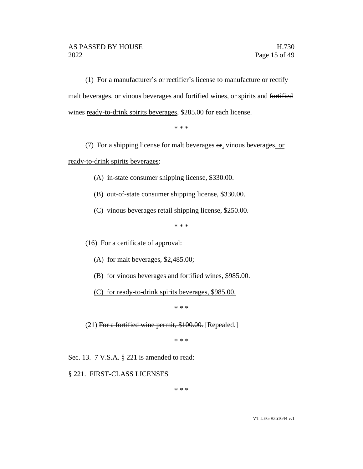(1) For a manufacturer's or rectifier's license to manufacture or rectify malt beverages, or vinous beverages and fortified wines, or spirits and fortified wines ready-to-drink spirits beverages, \$285.00 for each license.

\* \* \*

(7) For a shipping license for malt beverages  $\Theta$ <sub>r</sub>, vinous beverages, or

ready-to-drink spirits beverages:

- (A) in-state consumer shipping license, \$330.00.
- (B) out-of-state consumer shipping license, \$330.00.
- (C) vinous beverages retail shipping license, \$250.00.

\* \* \*

(16) For a certificate of approval:

- (A) for malt beverages, \$2,485.00;
- (B) for vinous beverages and fortified wines, \$985.00.
- (C) for ready-to-drink spirits beverages, \$985.00.

\* \* \*

 $(21)$  For a fortified wine permit, \$100.00. [Repealed.]

\* \* \*

Sec. 13. 7 V.S.A. § 221 is amended to read:

§ 221. FIRST-CLASS LICENSES

\* \* \*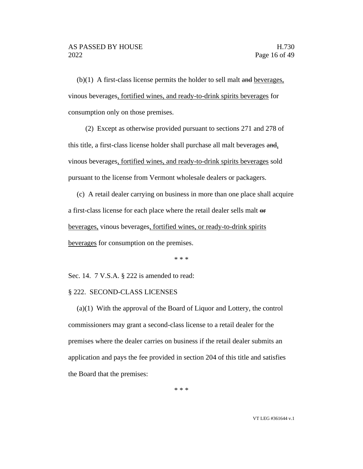$(b)(1)$  A first-class license permits the holder to sell malt and beverages, vinous beverages, fortified wines, and ready-to-drink spirits beverages for consumption only on those premises.

(2) Except as otherwise provided pursuant to sections 271 and 278 of this title, a first-class license holder shall purchase all malt beverages and, vinous beverages, fortified wines, and ready-to-drink spirits beverages sold pursuant to the license from Vermont wholesale dealers or packagers.

(c) A retail dealer carrying on business in more than one place shall acquire a first-class license for each place where the retail dealer sells malt or beverages, vinous beverages, fortified wines, or ready-to-drink spirits beverages for consumption on the premises.

\* \* \*

Sec. 14. 7 V.S.A. § 222 is amended to read:

#### § 222. SECOND-CLASS LICENSES

(a)(1) With the approval of the Board of Liquor and Lottery, the control commissioners may grant a second-class license to a retail dealer for the premises where the dealer carries on business if the retail dealer submits an application and pays the fee provided in section 204 of this title and satisfies the Board that the premises:

\* \* \*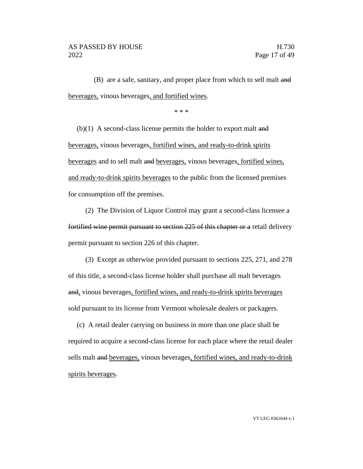(B) are a safe, sanitary, and proper place from which to sell malt and beverages, vinous beverages, and fortified wines.

\* \* \*

 $(b)(1)$  A second-class license permits the holder to export malt and beverages, vinous beverages, fortified wines, and ready-to-drink spirits beverages and to sell malt and beverages, vinous beverages, fortified wines, and ready-to-drink spirits beverages to the public from the licensed premises for consumption off the premises.

(2) The Division of Liquor Control may grant a second-class licensee a fortified wine permit pursuant to section 225 of this chapter or a retail delivery permit pursuant to section 226 of this chapter.

(3) Except as otherwise provided pursuant to sections 225, 271, and 278 of this title, a second-class license holder shall purchase all malt beverages and, vinous beverages, fortified wines, and ready-to-drink spirits beverages sold pursuant to its license from Vermont wholesale dealers or packagers.

(c) A retail dealer carrying on business in more than one place shall be required to acquire a second-class license for each place where the retail dealer sells malt and beverages, vinous beverages, fortified wines, and ready-to-drink spirits beverages.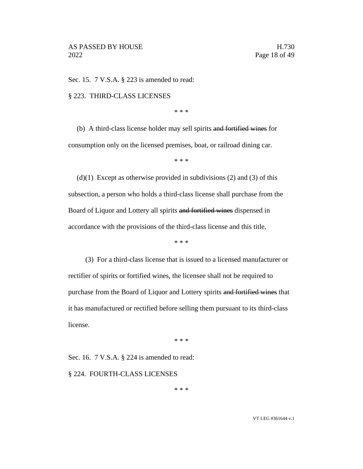Sec. 15. 7 V.S.A. § 223 is amended to read:

§ 223. THIRD-CLASS LICENSES

\* \* \*

(b) A third-class license holder may sell spirits and fortified wines for consumption only on the licensed premises, boat, or railroad dining car.

\* \* \*

 $(d)(1)$  Except as otherwise provided in subdivisions (2) and (3) of this subsection, a person who holds a third-class license shall purchase from the Board of Liquor and Lottery all spirits and fortified wines dispensed in accordance with the provisions of the third-class license and this title.

\* \* \*

(3) For a third-class license that is issued to a licensed manufacturer or rectifier of spirits or fortified wines, the licensee shall not be required to purchase from the Board of Liquor and Lottery spirits and fortified wines that it has manufactured or rectified before selling them pursuant to its third-class license.

\* \* \*

Sec. 16. 7 V.S.A. § 224 is amended to read:

§ 224. FOURTH-CLASS LICENSES

\* \* \*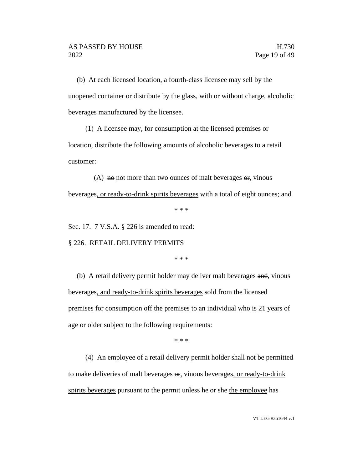(b) At each licensed location, a fourth-class licensee may sell by the unopened container or distribute by the glass, with or without charge, alcoholic beverages manufactured by the licensee.

(1) A licensee may, for consumption at the licensed premises or location, distribute the following amounts of alcoholic beverages to a retail customer:

(A)  $\theta$  not more than two ounces of malt beverages  $\theta$ , vinous beverages, or ready-to-drink spirits beverages with a total of eight ounces; and

\* \* \*

Sec. 17. 7 V.S.A. § 226 is amended to read:

§ 226. RETAIL DELIVERY PERMITS

\* \* \*

(b) A retail delivery permit holder may deliver malt beverages and, vinous beverages, and ready-to-drink spirits beverages sold from the licensed premises for consumption off the premises to an individual who is 21 years of age or older subject to the following requirements:

\* \* \*

(4) An employee of a retail delivery permit holder shall not be permitted to make deliveries of malt beverages  $\Theta$ <sub>r</sub>, vinous beverages, or ready-to-drink spirits beverages pursuant to the permit unless he or she the employee has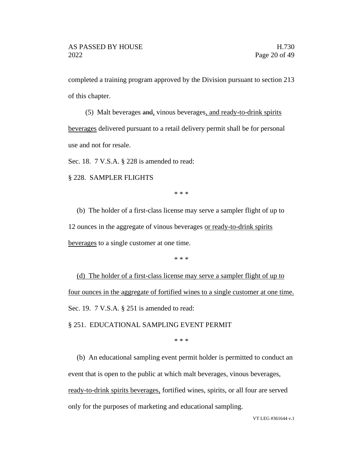completed a training program approved by the Division pursuant to section 213 of this chapter.

(5) Malt beverages and, vinous beverages, and ready-to-drink spirits beverages delivered pursuant to a retail delivery permit shall be for personal use and not for resale.

Sec. 18. 7 V.S.A. § 228 is amended to read:

§ 228. SAMPLER FLIGHTS

\* \* \*

(b) The holder of a first-class license may serve a sampler flight of up to 12 ounces in the aggregate of vinous beverages or ready-to-drink spirits beverages to a single customer at one time.

\* \* \*

(d) The holder of a first-class license may serve a sampler flight of up to four ounces in the aggregate of fortified wines to a single customer at one time. Sec. 19. 7 V.S.A. § 251 is amended to read:

§ 251. EDUCATIONAL SAMPLING EVENT PERMIT

\* \* \*

(b) An educational sampling event permit holder is permitted to conduct an event that is open to the public at which malt beverages, vinous beverages, ready-to-drink spirits beverages, fortified wines, spirits, or all four are served only for the purposes of marketing and educational sampling.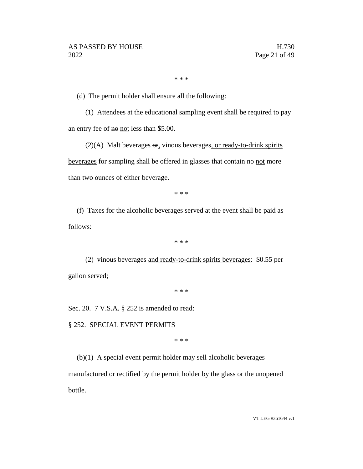\* \* \*

(d) The permit holder shall ensure all the following:

(1) Attendees at the educational sampling event shall be required to pay an entry fee of no not less than \$5.00.

 $(2)(A)$  Malt beverages  $\Theta$ , vinous beverages, or ready-to-drink spirits beverages for sampling shall be offered in glasses that contain no not more than two ounces of either beverage.

\* \* \*

(f) Taxes for the alcoholic beverages served at the event shall be paid as follows:

\* \* \*

(2) vinous beverages and ready-to-drink spirits beverages: \$0.55 per gallon served;

\* \* \*

Sec. 20. 7 V.S.A. § 252 is amended to read:

§ 252. SPECIAL EVENT PERMITS

\* \* \*

(b)(1) A special event permit holder may sell alcoholic beverages

manufactured or rectified by the permit holder by the glass or the unopened bottle.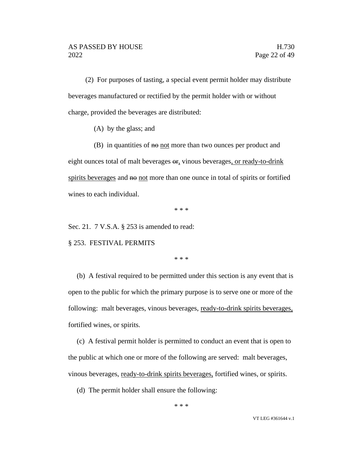(2) For purposes of tasting, a special event permit holder may distribute beverages manufactured or rectified by the permit holder with or without charge, provided the beverages are distributed:

(A) by the glass; and

 $(B)$  in quantities of  $H\Theta$  not more than two ounces per product and eight ounces total of malt beverages or, vinous beverages, or ready-to-drink spirits beverages and not more than one ounce in total of spirits or fortified wines to each individual.

\* \* \*

Sec. 21. 7 V.S.A. § 253 is amended to read:

§ 253. FESTIVAL PERMITS

\* \* \*

(b) A festival required to be permitted under this section is any event that is open to the public for which the primary purpose is to serve one or more of the following: malt beverages, vinous beverages, ready-to-drink spirits beverages, fortified wines, or spirits.

(c) A festival permit holder is permitted to conduct an event that is open to the public at which one or more of the following are served: malt beverages, vinous beverages, ready-to-drink spirits beverages, fortified wines, or spirits.

(d) The permit holder shall ensure the following: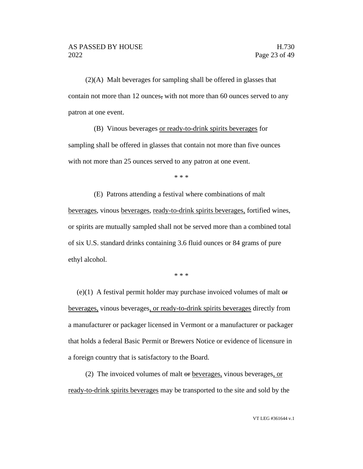(2)(A) Malt beverages for sampling shall be offered in glasses that contain not more than 12 ounces, with not more than 60 ounces served to any patron at one event.

(B) Vinous beverages or ready-to-drink spirits beverages for sampling shall be offered in glasses that contain not more than five ounces with not more than 25 ounces served to any patron at one event.

\* \* \*

(E) Patrons attending a festival where combinations of malt beverages, vinous beverages, ready-to-drink spirits beverages, fortified wines, or spirits are mutually sampled shall not be served more than a combined total of six U.S. standard drinks containing 3.6 fluid ounces or 84 grams of pure ethyl alcohol.

\* \* \*

(e)(1) A festival permit holder may purchase invoiced volumes of malt  $\Theta$ beverages, vinous beverages, or ready-to-drink spirits beverages directly from a manufacturer or packager licensed in Vermont or a manufacturer or packager that holds a federal Basic Permit or Brewers Notice or evidence of licensure in a foreign country that is satisfactory to the Board.

(2) The invoiced volumes of malt or beverages, vinous beverages, or ready-to-drink spirits beverages may be transported to the site and sold by the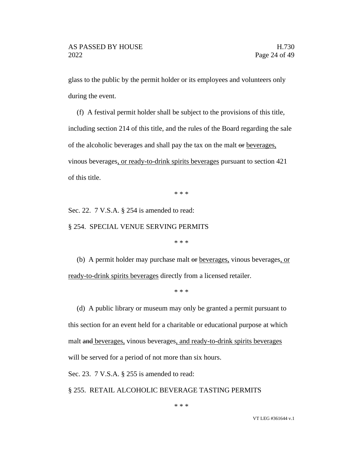glass to the public by the permit holder or its employees and volunteers only during the event.

(f) A festival permit holder shall be subject to the provisions of this title, including section 214 of this title, and the rules of the Board regarding the sale of the alcoholic beverages and shall pay the tax on the malt or beverages, vinous beverages, or ready-to-drink spirits beverages pursuant to section 421 of this title.

\* \* \*

Sec. 22. 7 V.S.A. § 254 is amended to read:

§ 254. SPECIAL VENUE SERVING PERMITS

\* \* \*

(b) A permit holder may purchase malt or beverages, vinous beverages, or ready-to-drink spirits beverages directly from a licensed retailer.

\* \* \*

(d) A public library or museum may only be granted a permit pursuant to this section for an event held for a charitable or educational purpose at which malt and beverages, vinous beverages, and ready-to-drink spirits beverages will be served for a period of not more than six hours.

Sec. 23. 7 V.S.A. § 255 is amended to read:

§ 255. RETAIL ALCOHOLIC BEVERAGE TASTING PERMITS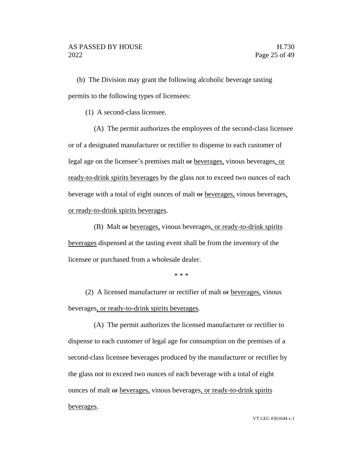(b) The Division may grant the following alcoholic beverage tasting permits to the following types of licensees:

(1) A second-class licensee.

(A) The permit authorizes the employees of the second-class licensee or of a designated manufacturer or rectifier to dispense to each customer of legal age on the licensee's premises malt or beverages, vinous beverages, or ready-to-drink spirits beverages by the glass not to exceed two ounces of each beverage with a total of eight ounces of malt or beverages, vinous beverages, or ready-to-drink spirits beverages.

(B) Malt or beverages, vinous beverages, or ready-to-drink spirits beverages dispensed at the tasting event shall be from the inventory of the licensee or purchased from a wholesale dealer.

\* \* \*

(2) A licensed manufacturer or rectifier of malt or beverages, vinous beverages, or ready-to-drink spirits beverages.

(A) The permit authorizes the licensed manufacturer or rectifier to dispense to each customer of legal age for consumption on the premises of a second-class licensee beverages produced by the manufacturer or rectifier by the glass not to exceed two ounces of each beverage with a total of eight ounces of malt or beverages, vinous beverages, or ready-to-drink spirits beverages.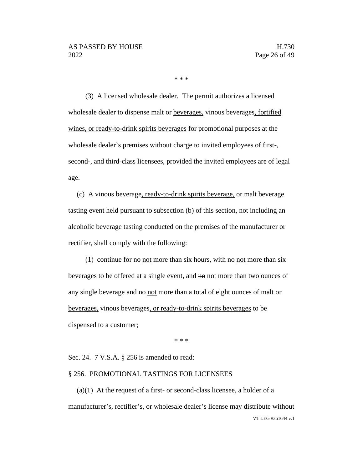\* \* \*

(3) A licensed wholesale dealer. The permit authorizes a licensed wholesale dealer to dispense malt or beverages, vinous beverages, fortified wines, or ready-to-drink spirits beverages for promotional purposes at the wholesale dealer's premises without charge to invited employees of first-, second-, and third-class licensees, provided the invited employees are of legal age.

(c) A vinous beverage, ready-to-drink spirits beverage, or malt beverage tasting event held pursuant to subsection (b) of this section, not including an alcoholic beverage tasting conducted on the premises of the manufacturer or rectifier, shall comply with the following:

(1) continue for  $\theta$  not more than six hours, with  $\theta$  not more than six beverages to be offered at a single event, and no not more than two ounces of any single beverage and no not more than a total of eight ounces of malt or beverages, vinous beverages, or ready-to-drink spirits beverages to be dispensed to a customer;

\* \* \*

Sec. 24. 7 V.S.A. § 256 is amended to read:

#### § 256. PROMOTIONAL TASTINGS FOR LICENSEES

VT LEG #361644 v.1  $(a)(1)$  At the request of a first- or second-class licensee, a holder of a manufacturer's, rectifier's, or wholesale dealer's license may distribute without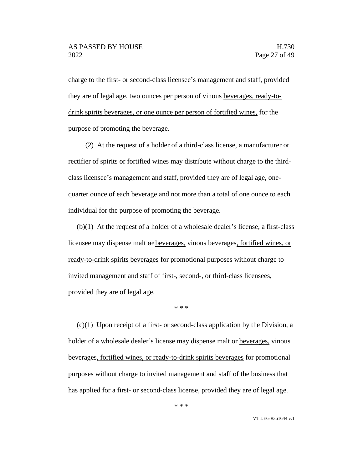charge to the first- or second-class licensee's management and staff, provided they are of legal age, two ounces per person of vinous beverages, ready-todrink spirits beverages, or one ounce per person of fortified wines, for the purpose of promoting the beverage.

(2) At the request of a holder of a third-class license, a manufacturer or rectifier of spirits or fortified wines may distribute without charge to the thirdclass licensee's management and staff, provided they are of legal age, onequarter ounce of each beverage and not more than a total of one ounce to each individual for the purpose of promoting the beverage.

(b)(1) At the request of a holder of a wholesale dealer's license, a first-class licensee may dispense malt or beverages, vinous beverages, fortified wines, or ready-to-drink spirits beverages for promotional purposes without charge to invited management and staff of first-, second-, or third-class licensees, provided they are of legal age.

\* \* \*

 $(c)(1)$  Upon receipt of a first- or second-class application by the Division, a holder of a wholesale dealer's license may dispense malt or beverages, vinous beverages, fortified wines, or ready-to-drink spirits beverages for promotional purposes without charge to invited management and staff of the business that has applied for a first- or second-class license, provided they are of legal age.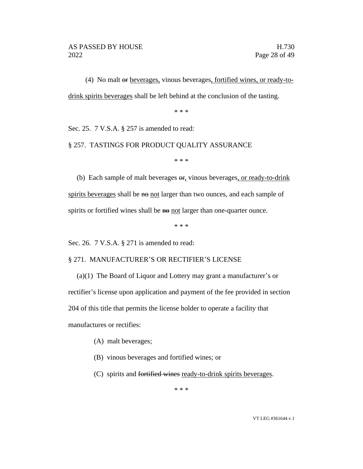(4) No malt or beverages, vinous beverages, fortified wines, or ready-todrink spirits beverages shall be left behind at the conclusion of the tasting.

\* \* \*

Sec. 25. 7 V.S.A. § 257 is amended to read:

# § 257. TASTINGS FOR PRODUCT QUALITY ASSURANCE

\* \* \*

(b) Each sample of malt beverages or, vinous beverages, or ready-to-drink spirits beverages shall be no not larger than two ounces, and each sample of spirits or fortified wines shall be no not larger than one-quarter ounce.

\* \* \*

Sec. 26. 7 V.S.A. § 271 is amended to read:

#### § 271. MANUFACTURER'S OR RECTIFIER'S LICENSE

(a)(1) The Board of Liquor and Lottery may grant a manufacturer's or rectifier's license upon application and payment of the fee provided in section 204 of this title that permits the license holder to operate a facility that manufactures or rectifies:

- (A) malt beverages;
- (B) vinous beverages and fortified wines; or
- (C) spirits and fortified wines ready-to-drink spirits beverages.

\* \* \*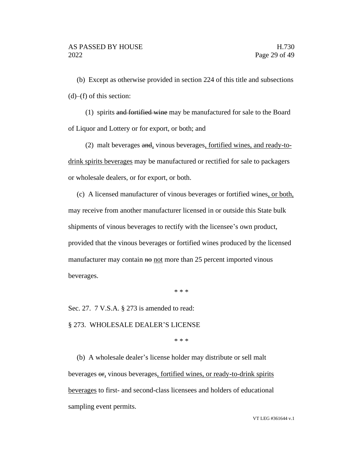(b) Except as otherwise provided in section 224 of this title and subsections  $(d)$ – $(f)$  of this section:

(1) spirits and fortified wine may be manufactured for sale to the Board of Liquor and Lottery or for export, or both; and

(2) malt beverages and, vinous beverages, fortified wines, and ready-todrink spirits beverages may be manufactured or rectified for sale to packagers or wholesale dealers, or for export, or both.

(c) A licensed manufacturer of vinous beverages or fortified wines, or both, may receive from another manufacturer licensed in or outside this State bulk shipments of vinous beverages to rectify with the licensee's own product, provided that the vinous beverages or fortified wines produced by the licensed manufacturer may contain  $\theta$  not more than 25 percent imported vinous beverages.

\* \* \*

Sec. 27. 7 V.S.A. § 273 is amended to read:

#### § 273. WHOLESALE DEALER'S LICENSE

\* \* \*

(b) A wholesale dealer's license holder may distribute or sell malt beverages  $\Theta$ , vinous beverages, fortified wines, or ready-to-drink spirits beverages to first- and second-class licensees and holders of educational sampling event permits.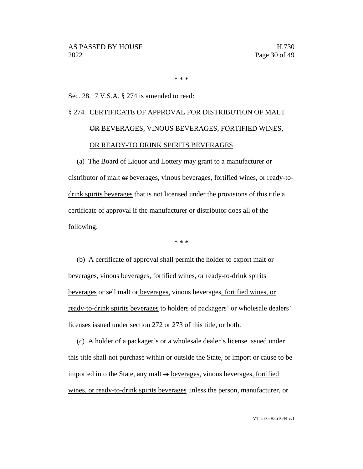\* \* \*

# Sec. 28. 7 V.S.A. § 274 is amended to read:

# § 274. CERTIFICATE OF APPROVAL FOR DISTRIBUTION OF MALT OR BEVERAGES, VINOUS BEVERAGES, FORTIFIED WINES, OR READY-TO DRINK SPIRITS BEVERAGES

(a) The Board of Liquor and Lottery may grant to a manufacturer or distributor of malt or beverages, vinous beverages, fortified wines, or ready-todrink spirits beverages that is not licensed under the provisions of this title a certificate of approval if the manufacturer or distributor does all of the following:

\* \* \*

(b) A certificate of approval shall permit the holder to export malt or beverages, vinous beverages, fortified wines, or ready-to-drink spirits beverages or sell malt or beverages, vinous beverages, fortified wines, or ready-to-drink spirits beverages to holders of packagers' or wholesale dealers' licenses issued under section 272 or 273 of this title, or both.

(c) A holder of a packager's or a wholesale dealer's license issued under this title shall not purchase within or outside the State, or import or cause to be imported into the State, any malt or beverages, vinous beverages, fortified wines, or ready-to-drink spirits beverages unless the person, manufacturer, or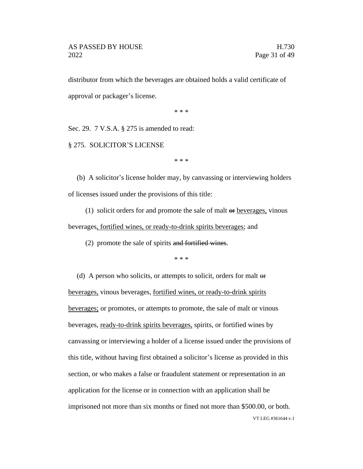distributor from which the beverages are obtained holds a valid certificate of approval or packager's license.

\* \* \*

Sec. 29. 7 V.S.A. § 275 is amended to read:

§ 275. SOLICITOR'S LICENSE

\* \* \*

(b) A solicitor's license holder may, by canvassing or interviewing holders of licenses issued under the provisions of this title:

(1) solicit orders for and promote the sale of malt  $\Theta$  beverages, vinous beverages, fortified wines, or ready-to-drink spirits beverages; and

(2) promote the sale of spirits and fortified wines.

\* \* \*

VT LEG #361644 v.1 (d) A person who solicits, or attempts to solicit, orders for malt or beverages, vinous beverages, fortified wines, or ready-to-drink spirits beverages; or promotes, or attempts to promote, the sale of malt or vinous beverages, ready-to-drink spirits beverages, spirits, or fortified wines by canvassing or interviewing a holder of a license issued under the provisions of this title, without having first obtained a solicitor's license as provided in this section, or who makes a false or fraudulent statement or representation in an application for the license or in connection with an application shall be imprisoned not more than six months or fined not more than \$500.00, or both.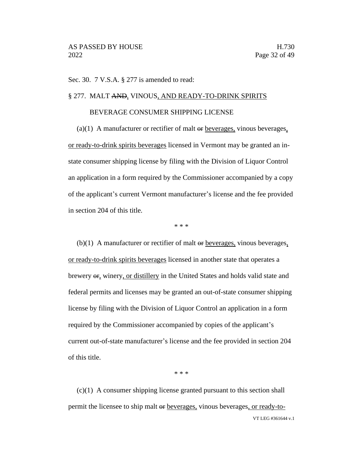Sec. 30. 7 V.S.A. § 277 is amended to read:

#### § 277. MALT AND, VINOUS, AND READY-TO-DRINK SPIRITS

# BEVERAGE CONSUMER SHIPPING LICENSE

(a)(1) A manufacturer or rectifier of malt  $\Theta$  beverages, vinous beverages, or ready-to-drink spirits beverages licensed in Vermont may be granted an instate consumer shipping license by filing with the Division of Liquor Control an application in a form required by the Commissioner accompanied by a copy of the applicant's current Vermont manufacturer's license and the fee provided in section 204 of this title.

\* \* \*

 $(b)(1)$  A manufacturer or rectifier of malt  $\Theta$  beverages, vinous beverages, or ready-to-drink spirits beverages licensed in another state that operates a brewery or, winery, or distillery in the United States and holds valid state and federal permits and licenses may be granted an out-of-state consumer shipping license by filing with the Division of Liquor Control an application in a form required by the Commissioner accompanied by copies of the applicant's current out-of-state manufacturer's license and the fee provided in section 204 of this title.

\* \* \*

VT LEG #361644 v.1 (c)(1) A consumer shipping license granted pursuant to this section shall permit the licensee to ship malt or beverages, vinous beverages, or ready-to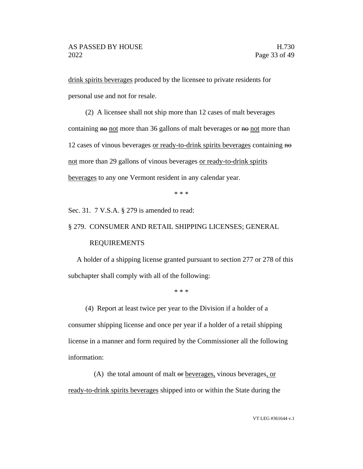drink spirits beverages produced by the licensee to private residents for personal use and not for resale.

(2) A licensee shall not ship more than 12 cases of malt beverages containing  $\theta$  not more than 36 gallons of malt beverages or  $\theta$  not more than 12 cases of vinous beverages or ready-to-drink spirits beverages containing no not more than 29 gallons of vinous beverages or ready-to-drink spirits beverages to any one Vermont resident in any calendar year.

\* \* \*

Sec. 31. 7 V.S.A. § 279 is amended to read:

#### § 279. CONSUMER AND RETAIL SHIPPING LICENSES; GENERAL

#### REQUIREMENTS

A holder of a shipping license granted pursuant to section 277 or 278 of this subchapter shall comply with all of the following:

\* \* \*

(4) Report at least twice per year to the Division if a holder of a

consumer shipping license and once per year if a holder of a retail shipping license in a manner and form required by the Commissioner all the following information:

(A) the total amount of malt or beverages, vinous beverages, or ready-to-drink spirits beverages shipped into or within the State during the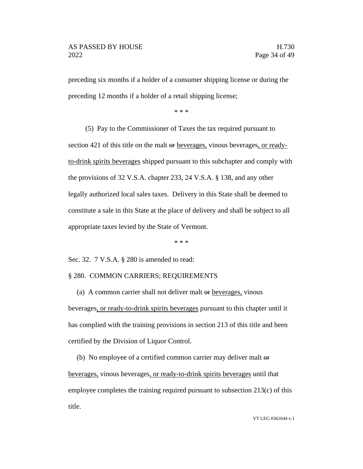preceding six months if a holder of a consumer shipping license or during the preceding 12 months if a holder of a retail shipping license;

\* \* \*

(5) Pay to the Commissioner of Taxes the tax required pursuant to section 421 of this title on the malt or beverages, vinous beverages, or readyto-drink spirits beverages shipped pursuant to this subchapter and comply with the provisions of 32 V.S.A. chapter 233, 24 V.S.A. § 138, and any other legally authorized local sales taxes. Delivery in this State shall be deemed to constitute a sale in this State at the place of delivery and shall be subject to all appropriate taxes levied by the State of Vermont.

\* \* \*

Sec. 32. 7 V.S.A. § 280 is amended to read:

#### § 280. COMMON CARRIERS; REQUIREMENTS

(a) A common carrier shall not deliver malt or beverages, vinous beverages, or ready-to-drink spirits beverages pursuant to this chapter until it has complied with the training provisions in section 213 of this title and been certified by the Division of Liquor Control.

(b) No employee of a certified common carrier may deliver malt  $\Theta$ beverages, vinous beverages, or ready-to-drink spirits beverages until that employee completes the training required pursuant to subsection 213(c) of this title.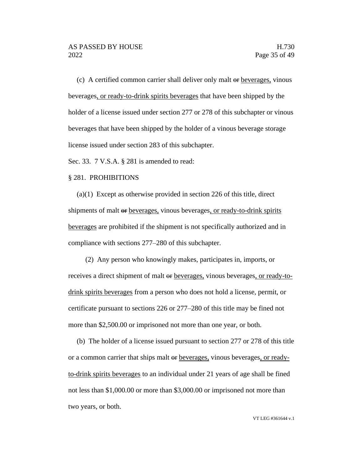(c) A certified common carrier shall deliver only malt or beverages, vinous beverages, or ready-to-drink spirits beverages that have been shipped by the holder of a license issued under section 277 or 278 of this subchapter or vinous beverages that have been shipped by the holder of a vinous beverage storage license issued under section 283 of this subchapter.

Sec. 33. 7 V.S.A. § 281 is amended to read:

#### § 281. PROHIBITIONS

(a)(1) Except as otherwise provided in section 226 of this title, direct shipments of malt or <u>beverages</u>, vinous beverages, or ready-to-drink spirits beverages are prohibited if the shipment is not specifically authorized and in compliance with sections 277–280 of this subchapter.

(2) Any person who knowingly makes, participates in, imports, or receives a direct shipment of malt or beverages, vinous beverages, or ready-todrink spirits beverages from a person who does not hold a license, permit, or certificate pursuant to sections 226 or 277–280 of this title may be fined not more than \$2,500.00 or imprisoned not more than one year, or both.

(b) The holder of a license issued pursuant to section 277 or 278 of this title or a common carrier that ships malt or beverages, vinous beverages, or readyto-drink spirits beverages to an individual under 21 years of age shall be fined not less than \$1,000.00 or more than \$3,000.00 or imprisoned not more than two years, or both.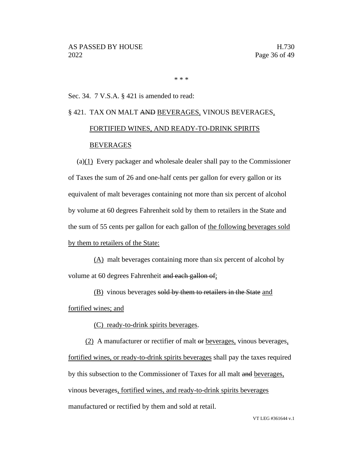\* \* \*

# Sec. 34. 7 V.S.A. § 421 is amended to read:

# § 421. TAX ON MALT AND BEVERAGES, VINOUS BEVERAGES, FORTIFIED WINES, AND READY-TO-DRINK SPIRITS BEVERAGES

(a)(1) Every packager and wholesale dealer shall pay to the Commissioner of Taxes the sum of 26 and one-half cents per gallon for every gallon or its equivalent of malt beverages containing not more than six percent of alcohol by volume at 60 degrees Fahrenheit sold by them to retailers in the State and the sum of 55 cents per gallon for each gallon of the following beverages sold by them to retailers of the State:

(A) malt beverages containing more than six percent of alcohol by volume at 60 degrees Fahrenheit and each gallon of;

(B) vinous beverages sold by them to retailers in the State and fortified wines; and

(C) ready-to-drink spirits beverages.

(2) A manufacturer or rectifier of malt or beverages, vinous beverages, fortified wines, or ready-to-drink spirits beverages shall pay the taxes required by this subsection to the Commissioner of Taxes for all malt and beverages, vinous beverages, fortified wines, and ready-to-drink spirits beverages manufactured or rectified by them and sold at retail.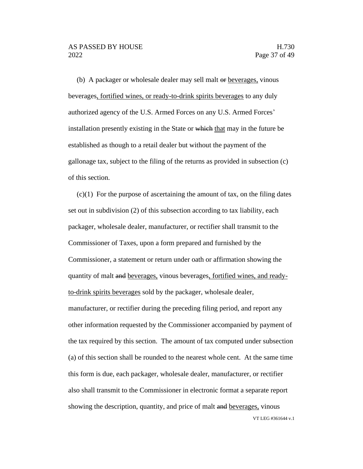(b) A packager or wholesale dealer may sell malt or beverages, vinous beverages, fortified wines, or ready-to-drink spirits beverages to any duly authorized agency of the U.S. Armed Forces on any U.S. Armed Forces' installation presently existing in the State or which that may in the future be established as though to a retail dealer but without the payment of the gallonage tax, subject to the filing of the returns as provided in subsection (c) of this section.

VT LEG #361644 v.1  $(c)(1)$  For the purpose of ascertaining the amount of tax, on the filing dates set out in subdivision (2) of this subsection according to tax liability, each packager, wholesale dealer, manufacturer, or rectifier shall transmit to the Commissioner of Taxes, upon a form prepared and furnished by the Commissioner, a statement or return under oath or affirmation showing the quantity of malt and beverages, vinous beverages, fortified wines, and readyto-drink spirits beverages sold by the packager, wholesale dealer, manufacturer, or rectifier during the preceding filing period, and report any other information requested by the Commissioner accompanied by payment of the tax required by this section. The amount of tax computed under subsection (a) of this section shall be rounded to the nearest whole cent. At the same time this form is due, each packager, wholesale dealer, manufacturer, or rectifier also shall transmit to the Commissioner in electronic format a separate report showing the description, quantity, and price of malt and beverages, vinous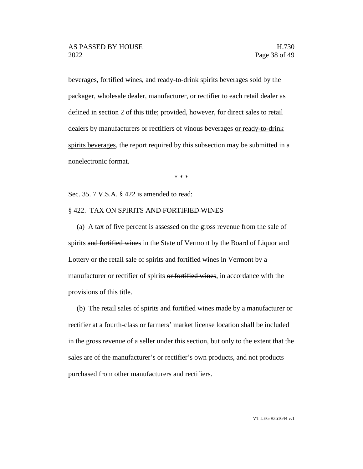beverages, fortified wines, and ready-to-drink spirits beverages sold by the packager, wholesale dealer, manufacturer, or rectifier to each retail dealer as defined in section 2 of this title; provided, however, for direct sales to retail dealers by manufacturers or rectifiers of vinous beverages or ready-to-drink spirits beverages, the report required by this subsection may be submitted in a nonelectronic format.

\* \* \*

Sec. 35. 7 V.S.A. § 422 is amended to read:

#### § 422. TAX ON SPIRITS AND FORTIFIED WINES

(a) A tax of five percent is assessed on the gross revenue from the sale of spirits and fortified wines in the State of Vermont by the Board of Liquor and Lottery or the retail sale of spirits and fortified wines in Vermont by a manufacturer or rectifier of spirits or fortified wines, in accordance with the provisions of this title.

(b) The retail sales of spirits and fortified wines made by a manufacturer or rectifier at a fourth-class or farmers' market license location shall be included in the gross revenue of a seller under this section, but only to the extent that the sales are of the manufacturer's or rectifier's own products, and not products purchased from other manufacturers and rectifiers.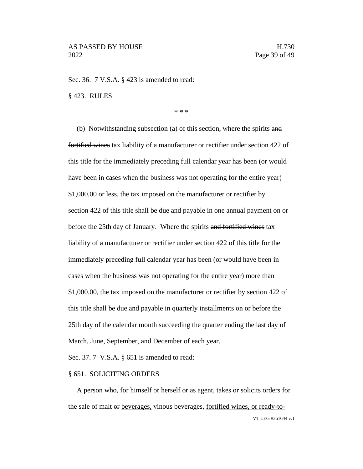Sec. 36. 7 V.S.A. § 423 is amended to read:

§ 423. RULES

\* \* \*

(b) Notwithstanding subsection (a) of this section, where the spirits and fortified wines tax liability of a manufacturer or rectifier under section 422 of this title for the immediately preceding full calendar year has been (or would have been in cases when the business was not operating for the entire year) \$1,000.00 or less, the tax imposed on the manufacturer or rectifier by section 422 of this title shall be due and payable in one annual payment on or before the 25th day of January. Where the spirits and fortified wines tax liability of a manufacturer or rectifier under section 422 of this title for the immediately preceding full calendar year has been (or would have been in cases when the business was not operating for the entire year) more than \$1,000.00, the tax imposed on the manufacturer or rectifier by section 422 of this title shall be due and payable in quarterly installments on or before the 25th day of the calendar month succeeding the quarter ending the last day of March, June, September, and December of each year.

Sec. 37. 7 V.S.A. § 651 is amended to read:

#### § 651. SOLICITING ORDERS

VT LEG #361644 v.1 A person who, for himself or herself or as agent, takes or solicits orders for the sale of malt or beverages, vinous beverages, fortified wines, or ready-to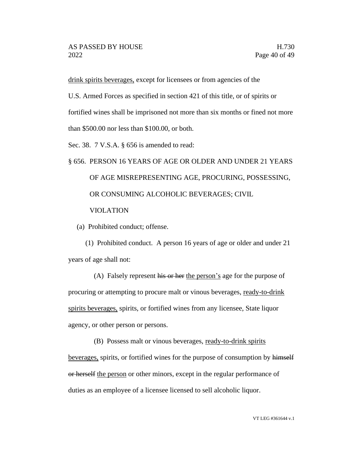drink spirits beverages, except for licensees or from agencies of the

U.S. Armed Forces as specified in section 421 of this title, or of spirits or

fortified wines shall be imprisoned not more than six months or fined not more

than \$500.00 nor less than \$100.00, or both.

Sec. 38. 7 V.S.A. § 656 is amended to read:

# § 656. PERSON 16 YEARS OF AGE OR OLDER AND UNDER 21 YEARS OF AGE MISREPRESENTING AGE, PROCURING, POSSESSING, OR CONSUMING ALCOHOLIC BEVERAGES; CIVIL VIOLATION

(a) Prohibited conduct; offense.

(1) Prohibited conduct. A person 16 years of age or older and under 21 years of age shall not:

(A) Falsely represent his or her the person's age for the purpose of procuring or attempting to procure malt or vinous beverages, ready-to-drink spirits beverages, spirits, or fortified wines from any licensee, State liquor agency, or other person or persons.

(B) Possess malt or vinous beverages, ready-to-drink spirits

beverages, spirits, or fortified wines for the purpose of consumption by himself or herself the person or other minors, except in the regular performance of duties as an employee of a licensee licensed to sell alcoholic liquor.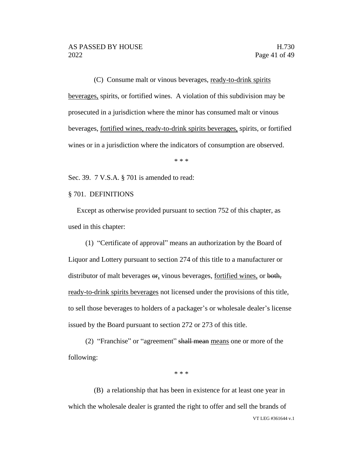(C) Consume malt or vinous beverages, ready-to-drink spirits beverages, spirits, or fortified wines. A violation of this subdivision may be prosecuted in a jurisdiction where the minor has consumed malt or vinous beverages, fortified wines, ready-to-drink spirits beverages, spirits, or fortified wines or in a jurisdiction where the indicators of consumption are observed.

\* \* \*

Sec. 39. 7 V.S.A. § 701 is amended to read:

§ 701. DEFINITIONS

Except as otherwise provided pursuant to section 752 of this chapter, as used in this chapter:

(1) "Certificate of approval" means an authorization by the Board of Liquor and Lottery pursuant to section 274 of this title to a manufacturer or distributor of malt beverages  $\Theta$ <sub>r</sub> vinous beverages, fortified wines, or both, ready-to-drink spirits beverages not licensed under the provisions of this title, to sell those beverages to holders of a packager's or wholesale dealer's license issued by the Board pursuant to section 272 or 273 of this title.

(2) "Franchise" or "agreement" shall mean means one or more of the following:

\* \* \*

VT LEG #361644 v.1 (B) a relationship that has been in existence for at least one year in which the wholesale dealer is granted the right to offer and sell the brands of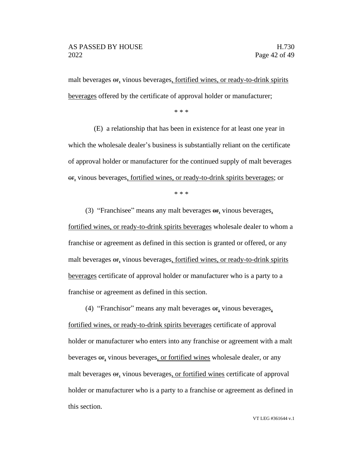malt beverages or, vinous beverages, fortified wines, or ready-to-drink spirits beverages offered by the certificate of approval holder or manufacturer;

\* \* \*

(E) a relationship that has been in existence for at least one year in which the wholesale dealer's business is substantially reliant on the certificate of approval holder or manufacturer for the continued supply of malt beverages or, vinous beverages, fortified wines, or ready-to-drink spirits beverages; or

\* \* \*

(3) "Franchisee" means any malt beverages or, vinous beverages, fortified wines, or ready-to-drink spirits beverages wholesale dealer to whom a franchise or agreement as defined in this section is granted or offered, or any malt beverages or, vinous beverages, fortified wines, or ready-to-drink spirits beverages certificate of approval holder or manufacturer who is a party to a franchise or agreement as defined in this section.

(4) "Franchisor" means any malt beverages  $\Theta$ , vinous beverages,

fortified wines, or ready-to-drink spirits beverages certificate of approval holder or manufacturer who enters into any franchise or agreement with a malt beverages or, vinous beverages, or fortified wines wholesale dealer, or any malt beverages  $\sigma$ , vinous beverages, or fortified wines certificate of approval holder or manufacturer who is a party to a franchise or agreement as defined in this section.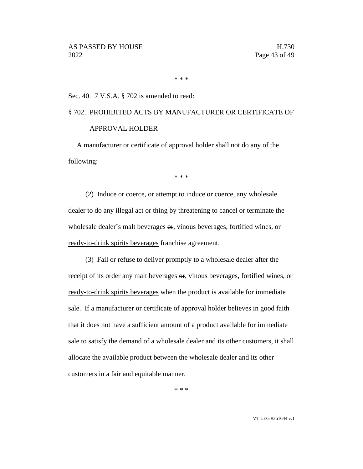\* \* \*

#### Sec. 40. 7 V.S.A. § 702 is amended to read:

# § 702. PROHIBITED ACTS BY MANUFACTURER OR CERTIFICATE OF APPROVAL HOLDER

A manufacturer or certificate of approval holder shall not do any of the following:

\* \* \*

(2) Induce or coerce, or attempt to induce or coerce, any wholesale dealer to do any illegal act or thing by threatening to cancel or terminate the wholesale dealer's malt beverages  $\sigma$ , vinous beverages, fortified wines, or ready-to-drink spirits beverages franchise agreement.

(3) Fail or refuse to deliver promptly to a wholesale dealer after the receipt of its order any malt beverages  $\Theta$ r, vinous beverages, fortified wines, or ready-to-drink spirits beverages when the product is available for immediate sale. If a manufacturer or certificate of approval holder believes in good faith that it does not have a sufficient amount of a product available for immediate sale to satisfy the demand of a wholesale dealer and its other customers, it shall allocate the available product between the wholesale dealer and its other customers in a fair and equitable manner.

\* \* \*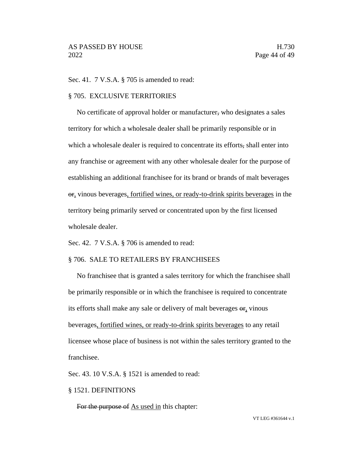Sec. 41. 7 V.S.A. § 705 is amended to read:

#### § 705. EXCLUSIVE TERRITORIES

No certificate of approval holder or manufacturer, who designates a sales territory for which a wholesale dealer shall be primarily responsible or in which a wholesale dealer is required to concentrate its efforts, shall enter into any franchise or agreement with any other wholesale dealer for the purpose of establishing an additional franchisee for its brand or brands of malt beverages or, vinous beverages, fortified wines, or ready-to-drink spirits beverages in the territory being primarily served or concentrated upon by the first licensed wholesale dealer.

Sec. 42. 7 V.S.A. § 706 is amended to read:

#### § 706. SALE TO RETAILERS BY FRANCHISEES

No franchisee that is granted a sales territory for which the franchisee shall be primarily responsible or in which the franchisee is required to concentrate its efforts shall make any sale or delivery of malt beverages  $\Theta$ , vinous beverages, fortified wines, or ready-to-drink spirits beverages to any retail licensee whose place of business is not within the sales territory granted to the franchisee.

Sec. 43. 10 V.S.A. § 1521 is amended to read:

#### § 1521. DEFINITIONS

For the purpose of As used in this chapter: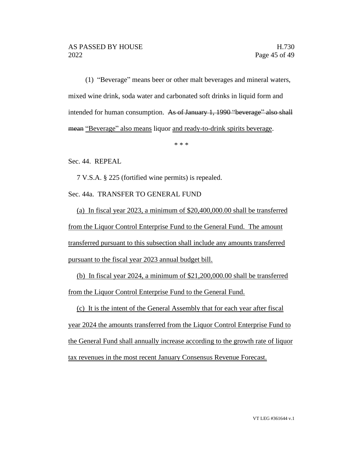(1) "Beverage" means beer or other malt beverages and mineral waters, mixed wine drink, soda water and carbonated soft drinks in liquid form and intended for human consumption. As of January 1, 1990 "beverage" also shall mean "Beverage" also means liquor and ready-to-drink spirits beverage.

\* \* \*

Sec. 44. REPEAL

7 V.S.A. § 225 (fortified wine permits) is repealed.

Sec. 44a. TRANSFER TO GENERAL FUND

(a) In fiscal year 2023, a minimum of \$20,400,000.00 shall be transferred from the Liquor Control Enterprise Fund to the General Fund. The amount transferred pursuant to this subsection shall include any amounts transferred pursuant to the fiscal year 2023 annual budget bill.

(b) In fiscal year 2024, a minimum of \$21,200,000.00 shall be transferred from the Liquor Control Enterprise Fund to the General Fund.

(c) It is the intent of the General Assembly that for each year after fiscal year 2024 the amounts transferred from the Liquor Control Enterprise Fund to the General Fund shall annually increase according to the growth rate of liquor tax revenues in the most recent January Consensus Revenue Forecast.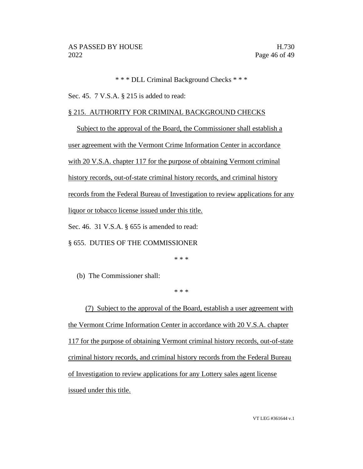\* \* \* DLL Criminal Background Checks \* \* \*

Sec. 45. 7 V.S.A. § 215 is added to read:

# § 215. AUTHORITY FOR CRIMINAL BACKGROUND CHECKS

Subject to the approval of the Board, the Commissioner shall establish a user agreement with the Vermont Crime Information Center in accordance with 20 V.S.A. chapter 117 for the purpose of obtaining Vermont criminal history records, out-of-state criminal history records, and criminal history records from the Federal Bureau of Investigation to review applications for any liquor or tobacco license issued under this title. Sec. 46. 31 V.S.A. § 655 is amended to read:

§ 655. DUTIES OF THE COMMISSIONER

\* \* \*

(b) The Commissioner shall:

#### \* \* \*

(7) Subject to the approval of the Board, establish a user agreement with the Vermont Crime Information Center in accordance with 20 V.S.A. chapter 117 for the purpose of obtaining Vermont criminal history records, out-of-state criminal history records, and criminal history records from the Federal Bureau of Investigation to review applications for any Lottery sales agent license issued under this title.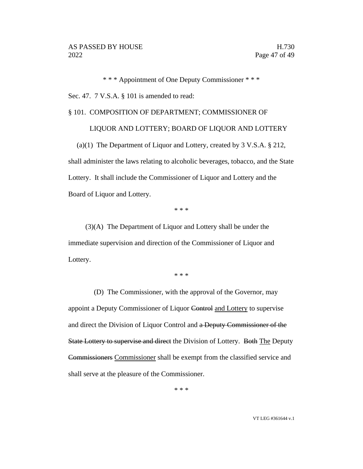\* \* \* Appointment of One Deputy Commissioner \* \* \* Sec. 47. 7 V.S.A. § 101 is amended to read:

#### § 101. COMPOSITION OF DEPARTMENT; COMMISSIONER OF

## LIQUOR AND LOTTERY; BOARD OF LIQUOR AND LOTTERY

(a)(1) The Department of Liquor and Lottery, created by 3 V.S.A. § 212, shall administer the laws relating to alcoholic beverages, tobacco, and the State Lottery. It shall include the Commissioner of Liquor and Lottery and the Board of Liquor and Lottery.

\* \* \*

(3)(A) The Department of Liquor and Lottery shall be under the immediate supervision and direction of the Commissioner of Liquor and Lottery.

\* \* \*

(D) The Commissioner, with the approval of the Governor, may appoint a Deputy Commissioner of Liquor Control and Lottery to supervise and direct the Division of Liquor Control and a Deputy Commissioner of the State Lottery to supervise and direct the Division of Lottery. Both The Deputy Commissioners Commissioner shall be exempt from the classified service and shall serve at the pleasure of the Commissioner.

\* \* \*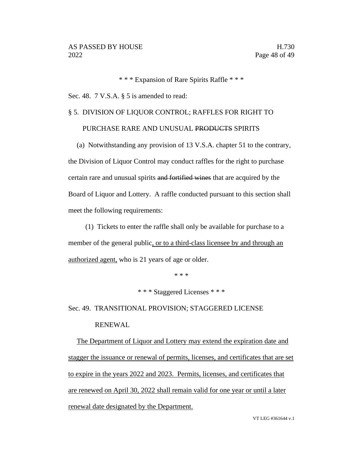\* \* \* Expansion of Rare Spirits Raffle \* \* \*

Sec. 48. 7 V.S.A. § 5 is amended to read:

# § 5. DIVISION OF LIQUOR CONTROL; RAFFLES FOR RIGHT TO

## PURCHASE RARE AND UNUSUAL PRODUCTS SPIRITS

(a) Notwithstanding any provision of 13 V.S.A. chapter 51 to the contrary, the Division of Liquor Control may conduct raffles for the right to purchase certain rare and unusual spirits and fortified wines that are acquired by the Board of Liquor and Lottery. A raffle conducted pursuant to this section shall meet the following requirements:

(1) Tickets to enter the raffle shall only be available for purchase to a member of the general public, or to a third-class licensee by and through an authorized agent, who is 21 years of age or older.

\* \* \*

\* \* \* Staggered Licenses \* \* \*

Sec. 49. TRANSITIONAL PROVISION; STAGGERED LICENSE RENEWAL

The Department of Liquor and Lottery may extend the expiration date and stagger the issuance or renewal of permits, licenses, and certificates that are set to expire in the years 2022 and 2023. Permits, licenses, and certificates that are renewed on April 30, 2022 shall remain valid for one year or until a later renewal date designated by the Department.